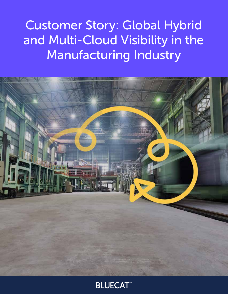Customer Story: Global Hybrid and Multi-Cloud Visibility in the Manufacturing Industry



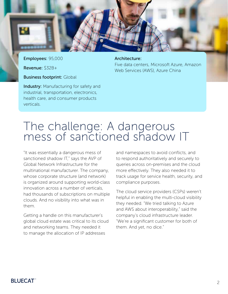

Employees: 95,000

Revenue: \$32B+

**Business footprint: Global** 

**Industry:** Manufacturing for safety and industrial, transportation, electronics, health care, and consumer products verticals.

Architecture: Five data centers, Microsoft Azure, Amazon Web Services (AWS), Azure China

# The challenge: A dangerous mess of sanctioned shadow IT

"It was essentially a dangerous mess of sanctioned shadow IT," says the AVP of Global Network Infrastructure for the multinational manufacturer. The company, whose corporate structure (and network) is organized around supporting world-class innovation across a number of verticals, had thousands of subscriptions on multiple clouds. And no visibility into what was in them.

Getting a handle on this manufacturer's global cloud estate was critical to its cloud and networking teams. They needed it to manage the allocation of IP addresses

and namespaces to avoid conflicts, and to respond authoritatively and securely to queries across on-premises and the cloud more effectively. They also needed it to track usage for service health, security, and compliance purposes.

The cloud service providers (CSPs) weren't helpful in enabling the multi-cloud visibility they needed. "We tried talking to Azure and AWS about interoperability," said the company's cloud infrastructure leader. "We're a significant customer for both of them. And yet, no dice."

### **BLUECAT**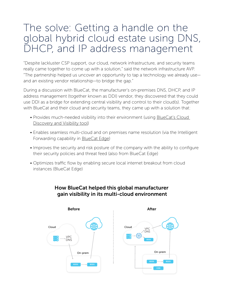# The solve: Getting a handle on the global hybrid cloud estate using DNS, DHCP, and IP address management

"Despite lackluster CSP support, our cloud, network infrastructure, and security teams really came together to come up with a solution," said the network infrastructure AVP. "The partnership helped us uncover an opportunity to tap a technology we already use and an existing vendor relationship—to bridge the gap."

During a discussion with BlueCat, the manufacturer's on-premises DNS, DHCP, and IP address management (together known as DDI) vendor, they discovered that they could use DDI as a bridge for extending central visibility and control to their cloud(s). Together with BlueCat and their cloud and security teams, they came up with a solution that:

- Provides much-needed visibility into their environment (using **BlueCat's Cloud** [Discovery and Visibility tool\)](https://bluecatnetworks.com/cloud-discovery-visibility/?utm_source=customer-story-manufacturing&utm_medium=referral&utm_campaign=house-divided)
- Enables seamless multi-cloud and on premises name resolution (via the Intelligent Forwarding capability in **BlueCat Edge**)
- Improves the security and risk posture of the company with the ability to configure their security policies and threat feed (also from BlueCat Edge)
- Optimizes traffic flow by enabling secure local internet breakout from cloud instances (BlueCat Edge)



#### How BlueCat helped this global manufacturer gain visibility in its multi-cloud environment